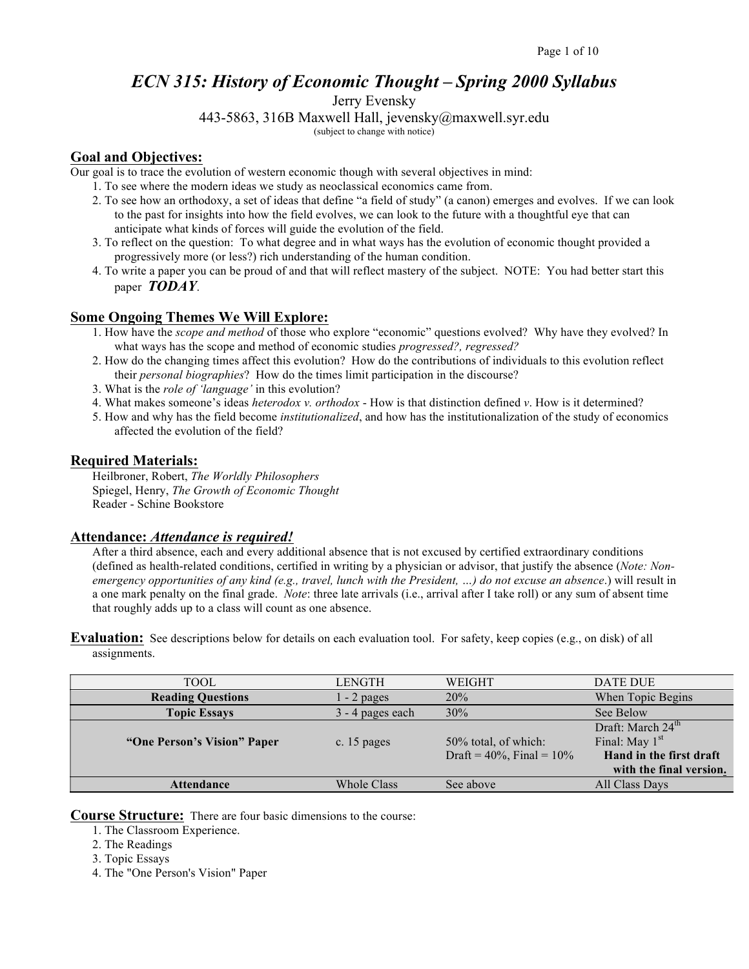# *ECN 315: History of Economic Thought – Spring 2000 Syllabus*

Jerry Evensky

443-5863, 316B Maxwell Hall, jevensky@maxwell.syr.edu (subject to change with notice)

### **Goal and Objectives:**

Our goal is to trace the evolution of western economic though with several objectives in mind:

- 1. To see where the modern ideas we study as neoclassical economics came from.
- 2. To see how an orthodoxy, a set of ideas that define "a field of study" (a canon) emerges and evolves. If we can look to the past for insights into how the field evolves, we can look to the future with a thoughtful eye that can anticipate what kinds of forces will guide the evolution of the field.
- 3. To reflect on the question: To what degree and in what ways has the evolution of economic thought provided a progressively more (or less?) rich understanding of the human condition.
- 4. To write a paper you can be proud of and that will reflect mastery of the subject. NOTE: You had better start this paper *TODAY*.

# **Some Ongoing Themes We Will Explore:**

- 1. How have the *scope and method* of those who explore "economic" questions evolved? Why have they evolved? In what ways has the scope and method of economic studies *progressed?, regressed?*
- 2. How do the changing times affect this evolution? How do the contributions of individuals to this evolution reflect their *personal biographies*? How do the times limit participation in the discourse?
- 3. What is the *role of 'language'* in this evolution?
- 4. What makes someone's ideas *heterodox v. orthodox* How is that distinction defined *v*. How is it determined?
- 5. How and why has the field become *institutionalized*, and how has the institutionalization of the study of economics affected the evolution of the field?

### **Required Materials:**

Heilbroner, Robert, *The Worldly Philosophers* Spiegel, Henry, *The Growth of Economic Thought* Reader - Schine Bookstore

### **Attendance:** *Attendance is required!*

After a third absence, each and every additional absence that is not excused by certified extraordinary conditions (defined as health-related conditions, certified in writing by a physician or advisor, that justify the absence (*Note: Nonemergency opportunities of any kind (e.g., travel, lunch with the President, …) do not excuse an absence*.) will result in a one mark penalty on the final grade. *Note*: three late arrivals (i.e., arrival after I take roll) or any sum of absent time that roughly adds up to a class will count as one absence.

**Evaluation:** See descriptions below for details on each evaluation tool. For safety, keep copies (e.g., on disk) of all assignments.

| TOOL                        | <b>LENGTH</b>      | WEIGHT                                                  | DATE DUE                                                                                                |
|-----------------------------|--------------------|---------------------------------------------------------|---------------------------------------------------------------------------------------------------------|
| <b>Reading Questions</b>    | $-2$ pages         | 20%                                                     | When Topic Begins                                                                                       |
| <b>Topic Essays</b>         | 3 - 4 pages each   | 30%                                                     | See Below                                                                                               |
| "One Person's Vision" Paper | c. 15 pages        | 50% total, of which:<br>Draft = $40\%$ , Final = $10\%$ | Draft: March 24 <sup>th</sup><br>Final: May $1st$<br>Hand in the first draft<br>with the final version. |
| <b>Attendance</b>           | <b>Whole Class</b> | See above                                               | All Class Days                                                                                          |

**Course Structure:** There are four basic dimensions to the course:

- 1. The Classroom Experience.
- 2. The Readings
- 3. Topic Essays
- 4. The "One Person's Vision" Paper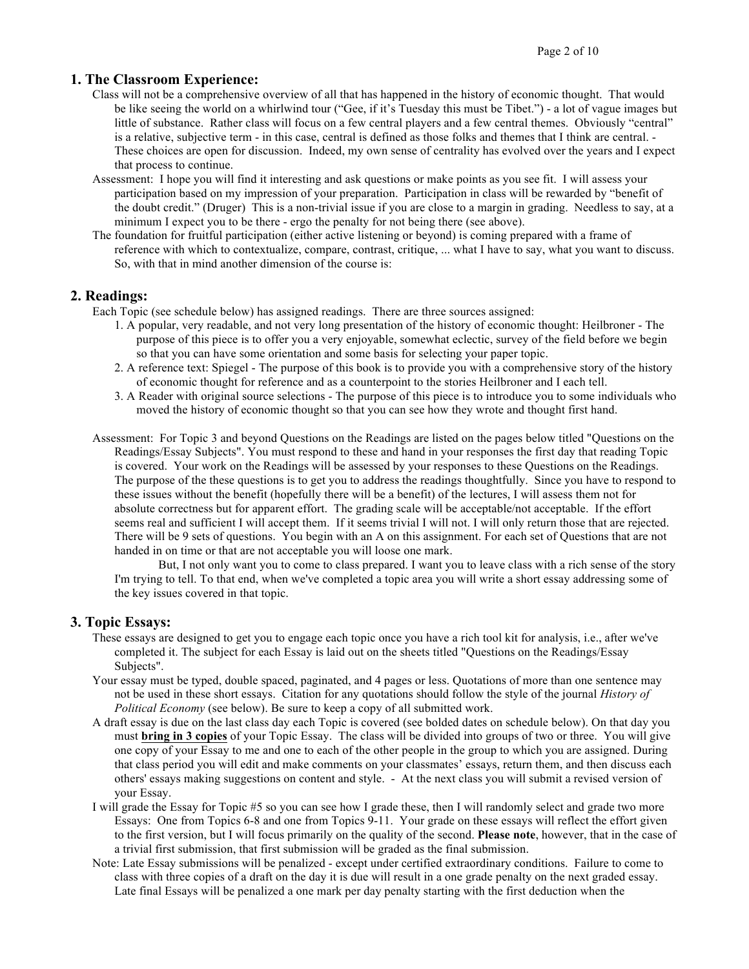### **1. The Classroom Experience:**

- Class will not be a comprehensive overview of all that has happened in the history of economic thought. That would be like seeing the world on a whirlwind tour ("Gee, if it's Tuesday this must be Tibet.") - a lot of vague images but little of substance. Rather class will focus on a few central players and a few central themes. Obviously "central" is a relative, subjective term - in this case, central is defined as those folks and themes that I think are central. - These choices are open for discussion. Indeed, my own sense of centrality has evolved over the years and I expect that process to continue.
- Assessment: I hope you will find it interesting and ask questions or make points as you see fit. I will assess your participation based on my impression of your preparation. Participation in class will be rewarded by "benefit of the doubt credit." (Druger) This is a non-trivial issue if you are close to a margin in grading. Needless to say, at a minimum I expect you to be there - ergo the penalty for not being there (see above).
- The foundation for fruitful participation (either active listening or beyond) is coming prepared with a frame of reference with which to contextualize, compare, contrast, critique, ... what I have to say, what you want to discuss. So, with that in mind another dimension of the course is:

### **2. Readings:**

Each Topic (see schedule below) has assigned readings. There are three sources assigned:

- 1. A popular, very readable, and not very long presentation of the history of economic thought: Heilbroner The purpose of this piece is to offer you a very enjoyable, somewhat eclectic, survey of the field before we begin so that you can have some orientation and some basis for selecting your paper topic.
- 2. A reference text: Spiegel The purpose of this book is to provide you with a comprehensive story of the history of economic thought for reference and as a counterpoint to the stories Heilbroner and I each tell.
- 3. A Reader with original source selections The purpose of this piece is to introduce you to some individuals who moved the history of economic thought so that you can see how they wrote and thought first hand.
- Assessment: For Topic 3 and beyond Questions on the Readings are listed on the pages below titled "Questions on the Readings/Essay Subjects". You must respond to these and hand in your responses the first day that reading Topic is covered. Your work on the Readings will be assessed by your responses to these Questions on the Readings. The purpose of the these questions is to get you to address the readings thoughtfully. Since you have to respond to these issues without the benefit (hopefully there will be a benefit) of the lectures, I will assess them not for absolute correctness but for apparent effort. The grading scale will be acceptable/not acceptable. If the effort seems real and sufficient I will accept them. If it seems trivial I will not. I will only return those that are rejected. There will be 9 sets of questions. You begin with an A on this assignment. For each set of Questions that are not handed in on time or that are not acceptable you will loose one mark.

But, I not only want you to come to class prepared. I want you to leave class with a rich sense of the story I'm trying to tell. To that end, when we've completed a topic area you will write a short essay addressing some of the key issues covered in that topic.

### **3. Topic Essays:**

- These essays are designed to get you to engage each topic once you have a rich tool kit for analysis, i.e., after we've completed it. The subject for each Essay is laid out on the sheets titled "Questions on the Readings/Essay Subjects".
- Your essay must be typed, double spaced, paginated, and 4 pages or less. Quotations of more than one sentence may not be used in these short essays. Citation for any quotations should follow the style of the journal *History of Political Economy* (see below). Be sure to keep a copy of all submitted work.
- A draft essay is due on the last class day each Topic is covered (see bolded dates on schedule below). On that day you must **bring in 3 copies** of your Topic Essay. The class will be divided into groups of two or three. You will give one copy of your Essay to me and one to each of the other people in the group to which you are assigned. During that class period you will edit and make comments on your classmates' essays, return them, and then discuss each others' essays making suggestions on content and style. - At the next class you will submit a revised version of your Essay.
- I will grade the Essay for Topic #5 so you can see how I grade these, then I will randomly select and grade two more Essays: One from Topics 6-8 and one from Topics 9-11. Your grade on these essays will reflect the effort given to the first version, but I will focus primarily on the quality of the second. **Please note**, however, that in the case of a trivial first submission, that first submission will be graded as the final submission.
- Note: Late Essay submissions will be penalized except under certified extraordinary conditions. Failure to come to class with three copies of a draft on the day it is due will result in a one grade penalty on the next graded essay. Late final Essays will be penalized a one mark per day penalty starting with the first deduction when the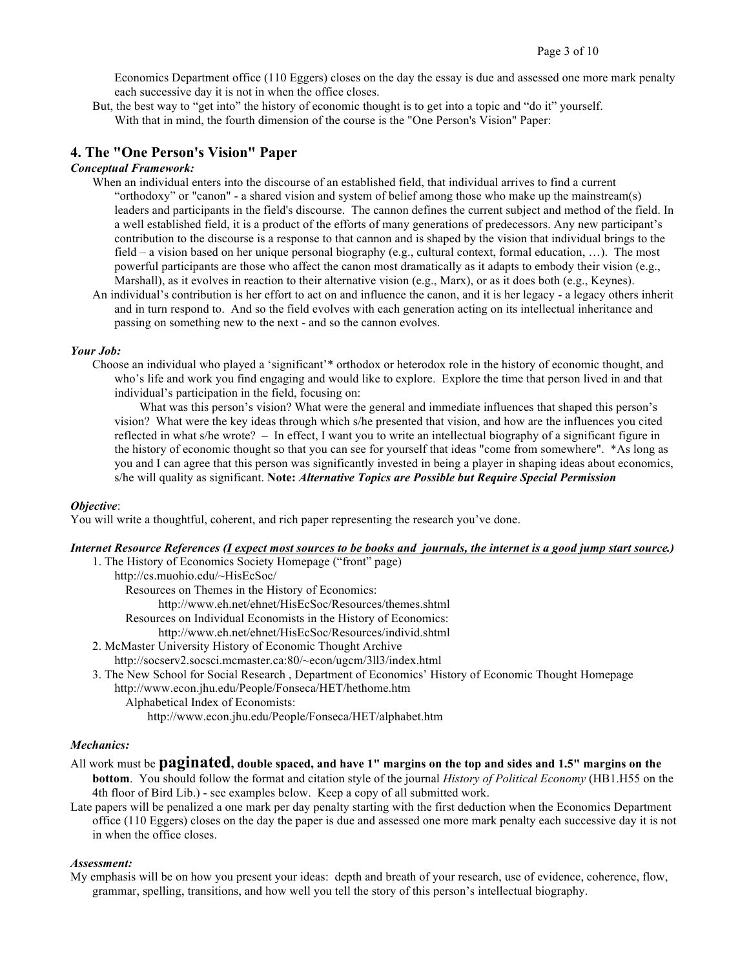Economics Department office (110 Eggers) closes on the day the essay is due and assessed one more mark penalty each successive day it is not in when the office closes.

But, the best way to "get into" the history of economic thought is to get into a topic and "do it" yourself. With that in mind, the fourth dimension of the course is the "One Person's Vision" Paper:

### **4. The "One Person's Vision" Paper**

### *Conceptual Framework:*

- When an individual enters into the discourse of an established field, that individual arrives to find a current "orthodoxy" or "canon" - a shared vision and system of belief among those who make up the mainstream(s) leaders and participants in the field's discourse. The cannon defines the current subject and method of the field. In a well established field, it is a product of the efforts of many generations of predecessors. Any new participant's contribution to the discourse is a response to that cannon and is shaped by the vision that individual brings to the field – a vision based on her unique personal biography (e.g., cultural context, formal education, …). The most powerful participants are those who affect the canon most dramatically as it adapts to embody their vision (e.g., Marshall), as it evolves in reaction to their alternative vision (e.g., Marx), or as it does both (e.g., Keynes).
- An individual's contribution is her effort to act on and influence the canon, and it is her legacy a legacy others inherit and in turn respond to. And so the field evolves with each generation acting on its intellectual inheritance and passing on something new to the next - and so the cannon evolves.

#### *Your Job:*

Choose an individual who played a 'significant'\* orthodox or heterodox role in the history of economic thought, and who's life and work you find engaging and would like to explore. Explore the time that person lived in and that individual's participation in the field, focusing on:

What was this person's vision? What were the general and immediate influences that shaped this person's vision? What were the key ideas through which s/he presented that vision, and how are the influences you cited reflected in what s/he wrote? – In effect, I want you to write an intellectual biography of a significant figure in the history of economic thought so that you can see for yourself that ideas "come from somewhere". \*As long as you and I can agree that this person was significantly invested in being a player in shaping ideas about economics, s/he will quality as significant. **Note:** *Alternative Topics are Possible but Require Special Permission*

#### *Objective*:

You will write a thoughtful, coherent, and rich paper representing the research you've done.

### *Internet Resource References (I expect most sources to be books and journals, the internet is a good jump start source.)*

- 1. The History of Economics Society Homepage ("front" page) http://cs.muohio.edu/~HisEcSoc/ Resources on Themes in the History of Economics: http://www.eh.net/ehnet/HisEcSoc/Resources/themes.shtml Resources on Individual Economists in the History of Economics: http://www.eh.net/ehnet/HisEcSoc/Resources/individ.shtml
- 2. McMaster University History of Economic Thought Archive http://socserv2.socsci.mcmaster.ca:80/~econ/ugcm/3ll3/index.html
- 3. The New School for Social Research , Department of Economics' History of Economic Thought Homepage http://www.econ.jhu.edu/People/Fonseca/HET/hethome.htm
	- Alphabetical Index of Economists:
		- http://www.econ.jhu.edu/People/Fonseca/HET/alphabet.htm

#### *Mechanics:*

### All work must be **paginated, double spaced, and have 1" margins on the top and sides and 1.5" margins on the**

- **bottom**. You should follow the format and citation style of the journal *History of Political Economy* (HB1.H55 on the 4th floor of Bird Lib.) - see examples below. Keep a copy of all submitted work.
- Late papers will be penalized a one mark per day penalty starting with the first deduction when the Economics Department office (110 Eggers) closes on the day the paper is due and assessed one more mark penalty each successive day it is not in when the office closes.

#### *Assessment:*

My emphasis will be on how you present your ideas: depth and breath of your research, use of evidence, coherence, flow, grammar, spelling, transitions, and how well you tell the story of this person's intellectual biography.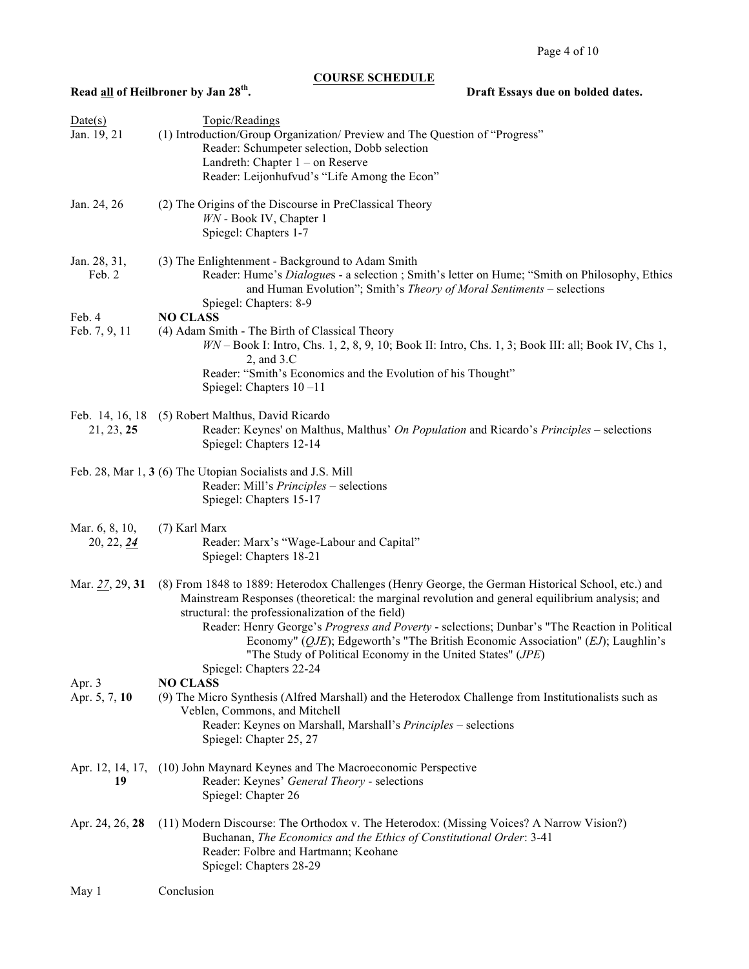# **COURSE SCHEDULE**

# **Read <u>all</u> of Heilbroner by Jan 28<sup>th</sup>. Draft Essays due on bolded dates.**

| Date(s)<br>Jan. 19, 21       | Topic/Readings<br>(1) Introduction/Group Organization/ Preview and The Question of "Progress"<br>Reader: Schumpeter selection, Dobb selection<br>Landreth: Chapter $1 -$ on Reserve<br>Reader: Leijonhufvud's "Life Among the Econ"                                                                                                                                                                                                                                                                                                                        |
|------------------------------|------------------------------------------------------------------------------------------------------------------------------------------------------------------------------------------------------------------------------------------------------------------------------------------------------------------------------------------------------------------------------------------------------------------------------------------------------------------------------------------------------------------------------------------------------------|
| Jan. 24, 26                  | (2) The Origins of the Discourse in PreClassical Theory<br>WN - Book IV, Chapter 1<br>Spiegel: Chapters 1-7                                                                                                                                                                                                                                                                                                                                                                                                                                                |
| Jan. 28, 31,<br>Feb. 2       | (3) The Enlightenment - Background to Adam Smith<br>Reader: Hume's Dialogues - a selection ; Smith's letter on Hume; "Smith on Philosophy, Ethics<br>and Human Evolution"; Smith's Theory of Moral Sentiments - selections<br>Spiegel: Chapters: 8-9                                                                                                                                                                                                                                                                                                       |
| Feb. 4<br>Feb. 7, 9, 11      | <b>NO CLASS</b><br>(4) Adam Smith - The Birth of Classical Theory<br>$WN - Book$ I: Intro, Chs. 1, 2, 8, 9, 10; Book II: Intro, Chs. 1, 3; Book III: all; Book IV, Chs 1,<br>$2$ , and $3.C$<br>Reader: "Smith's Economics and the Evolution of his Thought"<br>Spiegel: Chapters $10 - 11$                                                                                                                                                                                                                                                                |
| 21, 23, 25                   | Feb. 14, 16, 18 (5) Robert Malthus, David Ricardo<br>Reader: Keynes' on Malthus, Malthus' On Population and Ricardo's Principles – selections<br>Spiegel: Chapters 12-14                                                                                                                                                                                                                                                                                                                                                                                   |
|                              | Feb. 28, Mar 1, 3 (6) The Utopian Socialists and J.S. Mill<br>Reader: Mill's <i>Principles</i> – selections<br>Spiegel: Chapters 15-17                                                                                                                                                                                                                                                                                                                                                                                                                     |
| Mar. 6, 8, 10,<br>20, 22, 24 | (7) Karl Marx<br>Reader: Marx's "Wage-Labour and Capital"<br>Spiegel: Chapters 18-21                                                                                                                                                                                                                                                                                                                                                                                                                                                                       |
| Mar. 27, 29, 31              | (8) From 1848 to 1889: Heterodox Challenges (Henry George, the German Historical School, etc.) and<br>Mainstream Responses (theoretical: the marginal revolution and general equilibrium analysis; and<br>structural: the professionalization of the field)<br>Reader: Henry George's Progress and Poverty - selections; Dunbar's "The Reaction in Political<br>Economy" ( $QJE$ ); Edgeworth's "The British Economic Association" ( $EJ$ ); Laughlin's<br>"The Study of Political Economy in the United States" ( <i>JPE</i> )<br>Spiegel: Chapters 22-24 |
| Apr. 3<br>Apr. 5, 7, 10      | <b>NO CLASS</b><br>(9) The Micro Synthesis (Alfred Marshall) and the Heterodox Challenge from Institutionalists such as<br>Veblen, Commons, and Mitchell<br>Reader: Keynes on Marshall, Marshall's Principles - selections<br>Spiegel: Chapter 25, 27                                                                                                                                                                                                                                                                                                      |
| 19                           | Apr. 12, 14, 17, (10) John Maynard Keynes and The Macroeconomic Perspective<br>Reader: Keynes' General Theory - selections<br>Spiegel: Chapter 26                                                                                                                                                                                                                                                                                                                                                                                                          |
| Apr. 24, 26, 28              | (11) Modern Discourse: The Orthodox v. The Heterodox: (Missing Voices? A Narrow Vision?)<br>Buchanan, The Economics and the Ethics of Constitutional Order: 3-41<br>Reader: Folbre and Hartmann; Keohane<br>Spiegel: Chapters 28-29                                                                                                                                                                                                                                                                                                                        |
| May 1                        | Conclusion                                                                                                                                                                                                                                                                                                                                                                                                                                                                                                                                                 |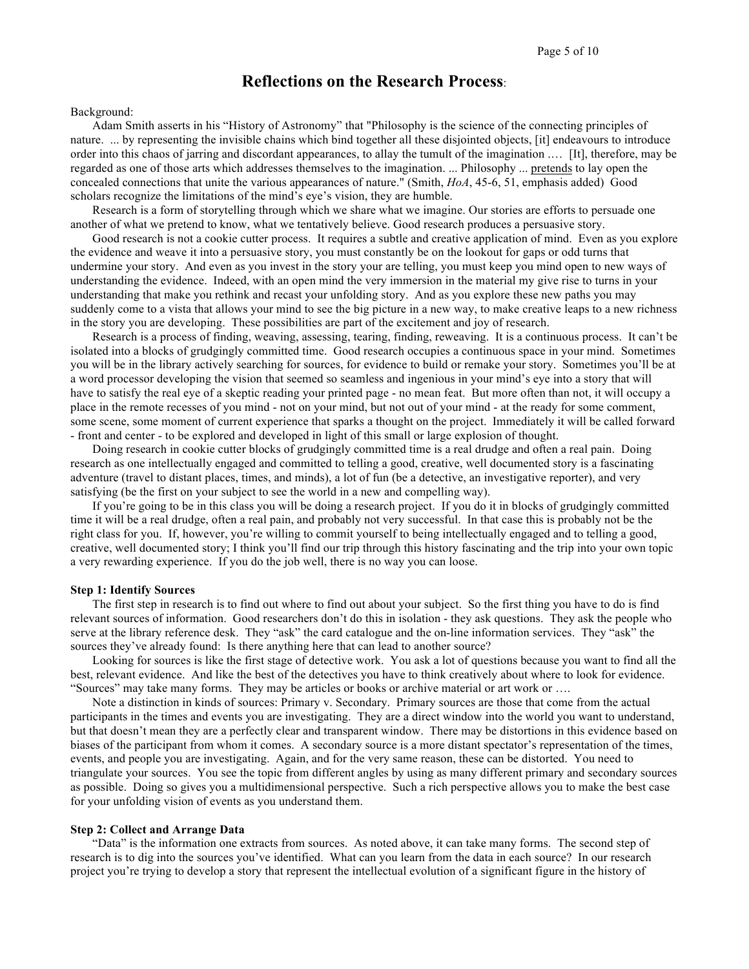# **Reflections on the Research Process**:

#### Background:

Adam Smith asserts in his "History of Astronomy" that "Philosophy is the science of the connecting principles of nature. ... by representing the invisible chains which bind together all these disjointed objects, [it] endeavours to introduce order into this chaos of jarring and discordant appearances, to allay the tumult of the imagination .… [It], therefore, may be regarded as one of those arts which addresses themselves to the imagination. ... Philosophy ... pretends to lay open the concealed connections that unite the various appearances of nature." (Smith, *HoA*, 45-6, 51, emphasis added) Good scholars recognize the limitations of the mind's eye's vision, they are humble.

Research is a form of storytelling through which we share what we imagine. Our stories are efforts to persuade one another of what we pretend to know, what we tentatively believe. Good research produces a persuasive story.

Good research is not a cookie cutter process. It requires a subtle and creative application of mind. Even as you explore the evidence and weave it into a persuasive story, you must constantly be on the lookout for gaps or odd turns that undermine your story. And even as you invest in the story your are telling, you must keep you mind open to new ways of understanding the evidence. Indeed, with an open mind the very immersion in the material my give rise to turns in your understanding that make you rethink and recast your unfolding story. And as you explore these new paths you may suddenly come to a vista that allows your mind to see the big picture in a new way, to make creative leaps to a new richness in the story you are developing. These possibilities are part of the excitement and joy of research.

Research is a process of finding, weaving, assessing, tearing, finding, reweaving. It is a continuous process. It can't be isolated into a blocks of grudgingly committed time. Good research occupies a continuous space in your mind. Sometimes you will be in the library actively searching for sources, for evidence to build or remake your story. Sometimes you'll be at a word processor developing the vision that seemed so seamless and ingenious in your mind's eye into a story that will have to satisfy the real eye of a skeptic reading your printed page - no mean feat. But more often than not, it will occupy a place in the remote recesses of you mind - not on your mind, but not out of your mind - at the ready for some comment, some scene, some moment of current experience that sparks a thought on the project. Immediately it will be called forward - front and center - to be explored and developed in light of this small or large explosion of thought.

Doing research in cookie cutter blocks of grudgingly committed time is a real drudge and often a real pain. Doing research as one intellectually engaged and committed to telling a good, creative, well documented story is a fascinating adventure (travel to distant places, times, and minds), a lot of fun (be a detective, an investigative reporter), and very satisfying (be the first on your subject to see the world in a new and compelling way).

If you're going to be in this class you will be doing a research project. If you do it in blocks of grudgingly committed time it will be a real drudge, often a real pain, and probably not very successful. In that case this is probably not be the right class for you. If, however, you're willing to commit yourself to being intellectually engaged and to telling a good, creative, well documented story; I think you'll find our trip through this history fascinating and the trip into your own topic a very rewarding experience. If you do the job well, there is no way you can loose.

#### **Step 1: Identify Sources**

The first step in research is to find out where to find out about your subject. So the first thing you have to do is find relevant sources of information. Good researchers don't do this in isolation - they ask questions. They ask the people who serve at the library reference desk. They "ask" the card catalogue and the on-line information services. They "ask" the sources they've already found: Is there anything here that can lead to another source?

Looking for sources is like the first stage of detective work. You ask a lot of questions because you want to find all the best, relevant evidence. And like the best of the detectives you have to think creatively about where to look for evidence. "Sources" may take many forms. They may be articles or books or archive material or art work or ….

Note a distinction in kinds of sources: Primary v. Secondary. Primary sources are those that come from the actual participants in the times and events you are investigating. They are a direct window into the world you want to understand, but that doesn't mean they are a perfectly clear and transparent window. There may be distortions in this evidence based on biases of the participant from whom it comes. A secondary source is a more distant spectator's representation of the times, events, and people you are investigating. Again, and for the very same reason, these can be distorted. You need to triangulate your sources. You see the topic from different angles by using as many different primary and secondary sources as possible. Doing so gives you a multidimensional perspective. Such a rich perspective allows you to make the best case for your unfolding vision of events as you understand them.

#### **Step 2: Collect and Arrange Data**

"Data" is the information one extracts from sources. As noted above, it can take many forms. The second step of research is to dig into the sources you've identified. What can you learn from the data in each source? In our research project you're trying to develop a story that represent the intellectual evolution of a significant figure in the history of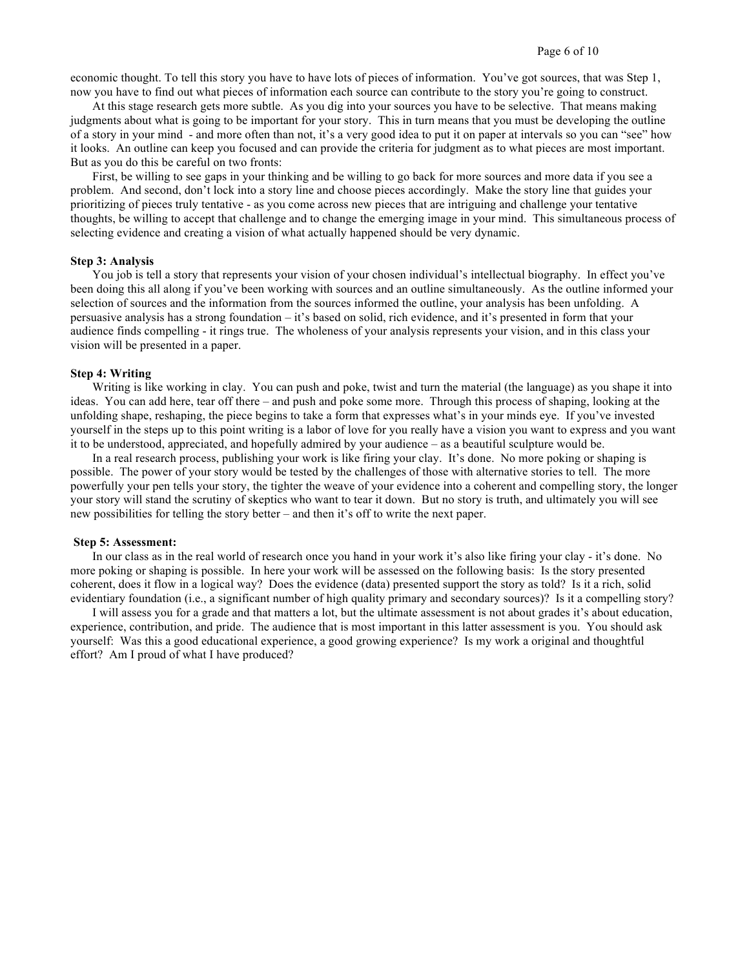economic thought. To tell this story you have to have lots of pieces of information. You've got sources, that was Step 1, now you have to find out what pieces of information each source can contribute to the story you're going to construct.

At this stage research gets more subtle. As you dig into your sources you have to be selective. That means making judgments about what is going to be important for your story. This in turn means that you must be developing the outline of a story in your mind - and more often than not, it's a very good idea to put it on paper at intervals so you can "see" how it looks. An outline can keep you focused and can provide the criteria for judgment as to what pieces are most important. But as you do this be careful on two fronts:

First, be willing to see gaps in your thinking and be willing to go back for more sources and more data if you see a problem. And second, don't lock into a story line and choose pieces accordingly. Make the story line that guides your prioritizing of pieces truly tentative - as you come across new pieces that are intriguing and challenge your tentative thoughts, be willing to accept that challenge and to change the emerging image in your mind. This simultaneous process of selecting evidence and creating a vision of what actually happened should be very dynamic.

#### **Step 3: Analysis**

You job is tell a story that represents your vision of your chosen individual's intellectual biography. In effect you've been doing this all along if you've been working with sources and an outline simultaneously. As the outline informed your selection of sources and the information from the sources informed the outline, your analysis has been unfolding. A persuasive analysis has a strong foundation – it's based on solid, rich evidence, and it's presented in form that your audience finds compelling - it rings true. The wholeness of your analysis represents your vision, and in this class your vision will be presented in a paper.

#### **Step 4: Writing**

Writing is like working in clay. You can push and poke, twist and turn the material (the language) as you shape it into ideas. You can add here, tear off there – and push and poke some more. Through this process of shaping, looking at the unfolding shape, reshaping, the piece begins to take a form that expresses what's in your minds eye. If you've invested yourself in the steps up to this point writing is a labor of love for you really have a vision you want to express and you want it to be understood, appreciated, and hopefully admired by your audience – as a beautiful sculpture would be.

In a real research process, publishing your work is like firing your clay. It's done. No more poking or shaping is possible. The power of your story would be tested by the challenges of those with alternative stories to tell. The more powerfully your pen tells your story, the tighter the weave of your evidence into a coherent and compelling story, the longer your story will stand the scrutiny of skeptics who want to tear it down. But no story is truth, and ultimately you will see new possibilities for telling the story better – and then it's off to write the next paper.

#### **Step 5: Assessment:**

In our class as in the real world of research once you hand in your work it's also like firing your clay - it's done. No more poking or shaping is possible. In here your work will be assessed on the following basis: Is the story presented coherent, does it flow in a logical way? Does the evidence (data) presented support the story as told? Is it a rich, solid evidentiary foundation (i.e., a significant number of high quality primary and secondary sources)? Is it a compelling story?

I will assess you for a grade and that matters a lot, but the ultimate assessment is not about grades it's about education, experience, contribution, and pride. The audience that is most important in this latter assessment is you. You should ask yourself: Was this a good educational experience, a good growing experience? Is my work a original and thoughtful effort? Am I proud of what I have produced?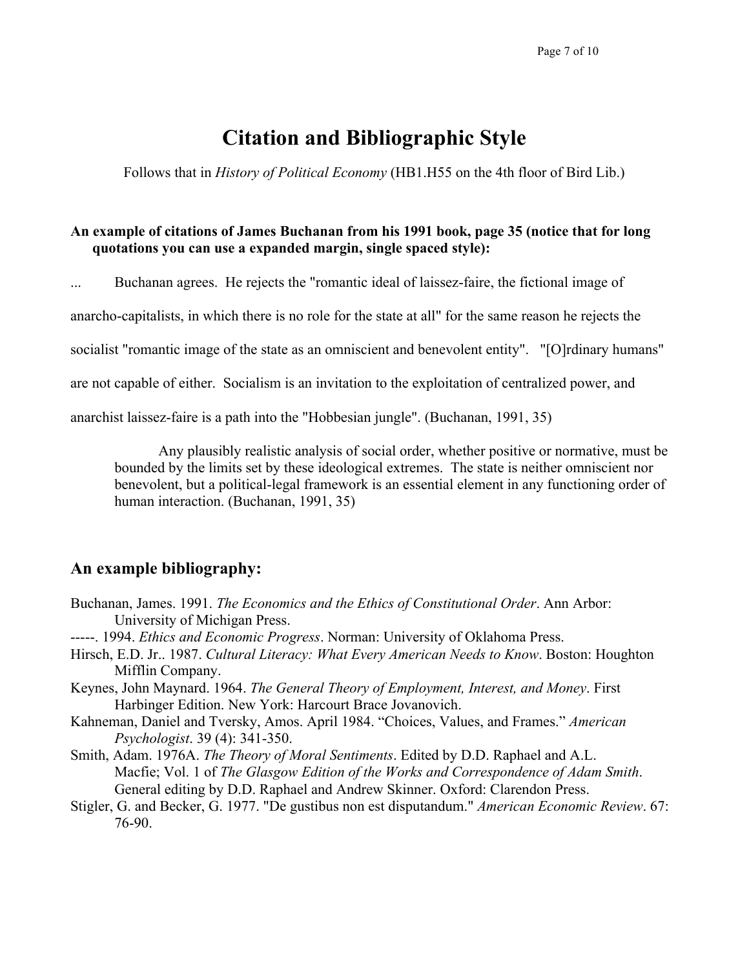# **Citation and Bibliographic Style**

Follows that in *History of Political Economy* (HB1.H55 on the 4th floor of Bird Lib.)

# **An example of citations of James Buchanan from his 1991 book, page 35 (notice that for long quotations you can use a expanded margin, single spaced style):**

... Buchanan agrees. He rejects the "romantic ideal of laissez-faire, the fictional image of

anarcho-capitalists, in which there is no role for the state at all" for the same reason he rejects the

socialist "romantic image of the state as an omniscient and benevolent entity". "[O]rdinary humans"

are not capable of either. Socialism is an invitation to the exploitation of centralized power, and

anarchist laissez-faire is a path into the "Hobbesian jungle". (Buchanan, 1991, 35)

Any plausibly realistic analysis of social order, whether positive or normative, must be bounded by the limits set by these ideological extremes. The state is neither omniscient nor benevolent, but a political-legal framework is an essential element in any functioning order of human interaction. (Buchanan, 1991, 35)

# **An example bibliography:**

- Buchanan, James. 1991. *The Economics and the Ethics of Constitutional Order*. Ann Arbor: University of Michigan Press.
- -----. 1994. *Ethics and Economic Progress*. Norman: University of Oklahoma Press.
- Hirsch, E.D. Jr.. 1987. *Cultural Literacy: What Every American Needs to Know*. Boston: Houghton Mifflin Company.
- Keynes, John Maynard. 1964. *The General Theory of Employment, Interest, and Money*. First Harbinger Edition. New York: Harcourt Brace Jovanovich.
- Kahneman, Daniel and Tversky, Amos. April 1984. "Choices, Values, and Frames." *American Psychologist*. 39 (4): 341-350.
- Smith, Adam. 1976A. *The Theory of Moral Sentiments*. Edited by D.D. Raphael and A.L. Macfie; Vol. 1 of *The Glasgow Edition of the Works and Correspondence of Adam Smith*. General editing by D.D. Raphael and Andrew Skinner. Oxford: Clarendon Press.
- Stigler, G. and Becker, G. 1977. "De gustibus non est disputandum." *American Economic Review*. 67: 76-90.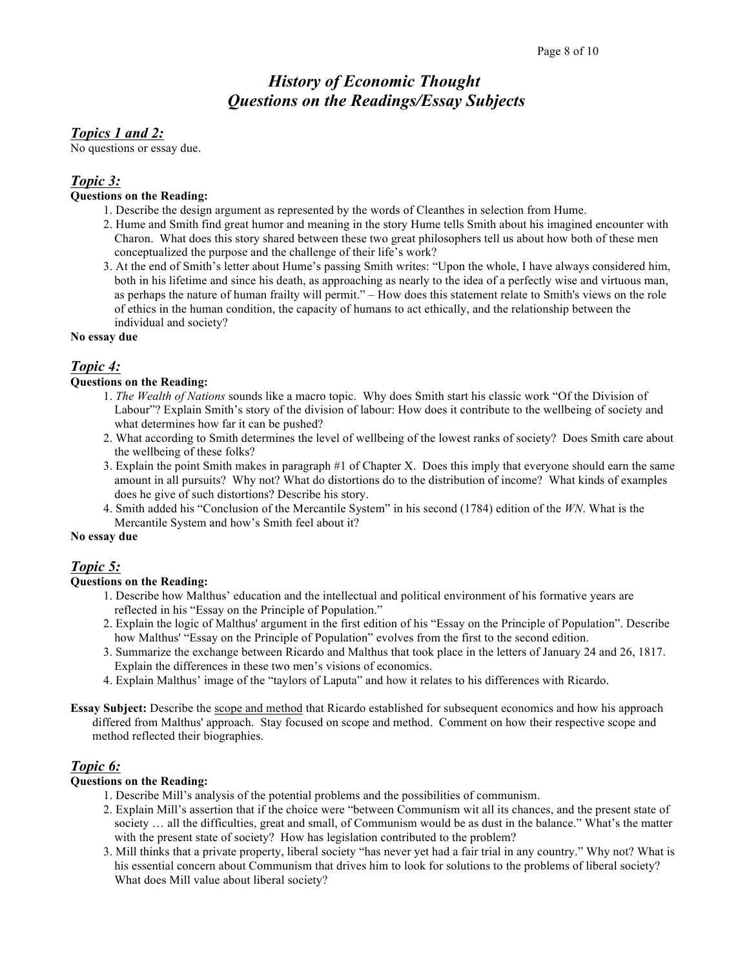# *History of Economic Thought Questions on the Readings/Essay Subjects*

### *Topics 1 and 2:*

No questions or essay due.

# *Topic 3:*

# **Questions on the Reading:**

- 1. Describe the design argument as represented by the words of Cleanthes in selection from Hume.
- 2. Hume and Smith find great humor and meaning in the story Hume tells Smith about his imagined encounter with Charon. What does this story shared between these two great philosophers tell us about how both of these men conceptualized the purpose and the challenge of their life's work?
- 3. At the end of Smith's letter about Hume's passing Smith writes: "Upon the whole, I have always considered him, both in his lifetime and since his death, as approaching as nearly to the idea of a perfectly wise and virtuous man, as perhaps the nature of human frailty will permit." – How does this statement relate to Smith's views on the role of ethics in the human condition, the capacity of humans to act ethically, and the relationship between the individual and society?

### **No essay due**

# *Topic 4:*

### **Questions on the Reading:**

- 1. *The Wealth of Nations* sounds like a macro topic. Why does Smith start his classic work "Of the Division of Labour"? Explain Smith's story of the division of labour: How does it contribute to the wellbeing of society and what determines how far it can be pushed?
- 2. What according to Smith determines the level of wellbeing of the lowest ranks of society? Does Smith care about the wellbeing of these folks?
- 3. Explain the point Smith makes in paragraph #1 of Chapter X. Does this imply that everyone should earn the same amount in all pursuits? Why not? What do distortions do to the distribution of income? What kinds of examples does he give of such distortions? Describe his story.
- 4. Smith added his "Conclusion of the Mercantile System" in his second (1784) edition of the *WN*. What is the Mercantile System and how's Smith feel about it?

### **No essay due**

### *Topic 5:*

### **Questions on the Reading:**

- 1. Describe how Malthus' education and the intellectual and political environment of his formative years are reflected in his "Essay on the Principle of Population."
- 2. Explain the logic of Malthus' argument in the first edition of his "Essay on the Principle of Population". Describe how Malthus' "Essay on the Principle of Population" evolves from the first to the second edition.
- 3. Summarize the exchange between Ricardo and Malthus that took place in the letters of January 24 and 26, 1817. Explain the differences in these two men's visions of economics.
- 4. Explain Malthus' image of the "taylors of Laputa" and how it relates to his differences with Ricardo.
- **Essay Subject:** Describe the scope and method that Ricardo established for subsequent economics and how his approach differed from Malthus' approach. Stay focused on scope and method. Comment on how their respective scope and method reflected their biographies.

### *Topic 6:*

### **Questions on the Reading:**

- 1. Describe Mill's analysis of the potential problems and the possibilities of communism.
- 2. Explain Mill's assertion that if the choice were "between Communism wit all its chances, and the present state of society … all the difficulties, great and small, of Communism would be as dust in the balance." What's the matter with the present state of society? How has legislation contributed to the problem?
- 3. Mill thinks that a private property, liberal society "has never yet had a fair trial in any country." Why not? What is his essential concern about Communism that drives him to look for solutions to the problems of liberal society? What does Mill value about liberal society?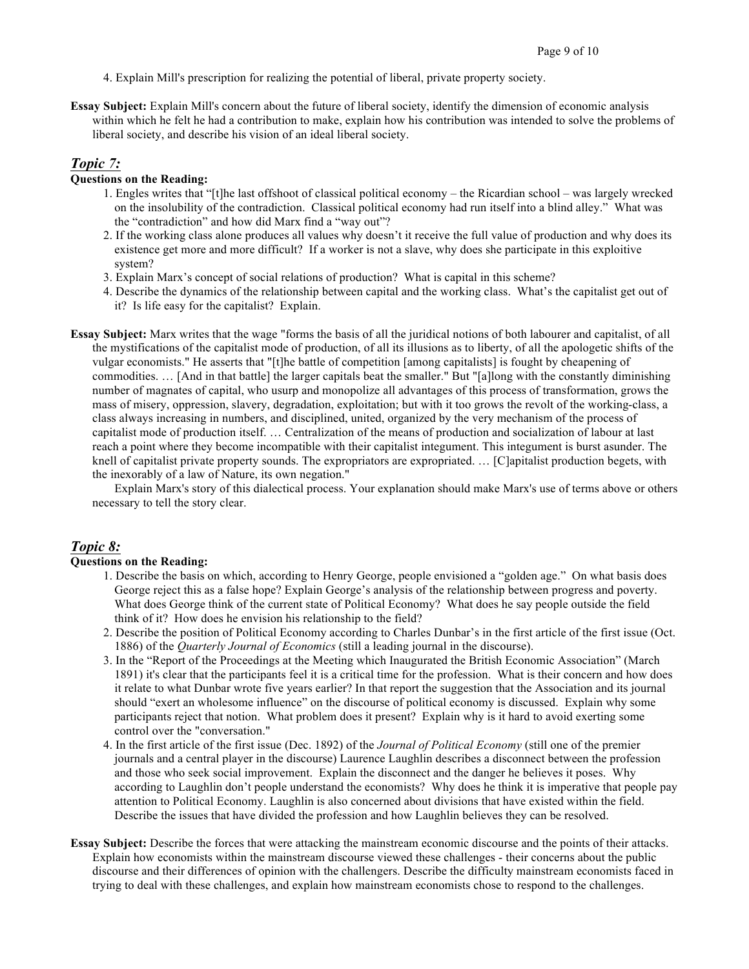- 4. Explain Mill's prescription for realizing the potential of liberal, private property society.
- **Essay Subject:** Explain Mill's concern about the future of liberal society, identify the dimension of economic analysis within which he felt he had a contribution to make, explain how his contribution was intended to solve the problems of liberal society, and describe his vision of an ideal liberal society.

### *Topic 7:*

### **Questions on the Reading:**

- 1. Engles writes that "[t]he last offshoot of classical political economy the Ricardian school was largely wrecked on the insolubility of the contradiction. Classical political economy had run itself into a blind alley." What was the "contradiction" and how did Marx find a "way out"?
- 2. If the working class alone produces all values why doesn't it receive the full value of production and why does its existence get more and more difficult? If a worker is not a slave, why does she participate in this exploitive system?
- 3. Explain Marx's concept of social relations of production? What is capital in this scheme?
- 4. Describe the dynamics of the relationship between capital and the working class. What's the capitalist get out of it? Is life easy for the capitalist? Explain.
- **Essay Subject:** Marx writes that the wage "forms the basis of all the juridical notions of both labourer and capitalist, of all the mystifications of the capitalist mode of production, of all its illusions as to liberty, of all the apologetic shifts of the vulgar economists." He asserts that "[t]he battle of competition [among capitalists] is fought by cheapening of commodities. … [And in that battle] the larger capitals beat the smaller." But "[a]long with the constantly diminishing number of magnates of capital, who usurp and monopolize all advantages of this process of transformation, grows the mass of misery, oppression, slavery, degradation, exploitation; but with it too grows the revolt of the working-class, a class always increasing in numbers, and disciplined, united, organized by the very mechanism of the process of capitalist mode of production itself. … Centralization of the means of production and socialization of labour at last reach a point where they become incompatible with their capitalist integument. This integument is burst asunder. The knell of capitalist private property sounds. The expropriators are expropriated. … [C]apitalist production begets, with the inexorably of a law of Nature, its own negation."

Explain Marx's story of this dialectical process. Your explanation should make Marx's use of terms above or others necessary to tell the story clear.

### *Topic 8:*

### **Questions on the Reading:**

- 1. Describe the basis on which, according to Henry George, people envisioned a "golden age." On what basis does George reject this as a false hope? Explain George's analysis of the relationship between progress and poverty. What does George think of the current state of Political Economy? What does he say people outside the field think of it? How does he envision his relationship to the field?
- 2. Describe the position of Political Economy according to Charles Dunbar's in the first article of the first issue (Oct. 1886) of the *Quarterly Journal of Economics* (still a leading journal in the discourse).
- 3. In the "Report of the Proceedings at the Meeting which Inaugurated the British Economic Association" (March 1891) it's clear that the participants feel it is a critical time for the profession. What is their concern and how does it relate to what Dunbar wrote five years earlier? In that report the suggestion that the Association and its journal should "exert an wholesome influence" on the discourse of political economy is discussed. Explain why some participants reject that notion. What problem does it present? Explain why is it hard to avoid exerting some control over the "conversation."
- 4. In the first article of the first issue (Dec. 1892) of the *Journal of Political Economy* (still one of the premier journals and a central player in the discourse) Laurence Laughlin describes a disconnect between the profession and those who seek social improvement. Explain the disconnect and the danger he believes it poses. Why according to Laughlin don't people understand the economists? Why does he think it is imperative that people pay attention to Political Economy. Laughlin is also concerned about divisions that have existed within the field. Describe the issues that have divided the profession and how Laughlin believes they can be resolved.
- **Essay Subject:** Describe the forces that were attacking the mainstream economic discourse and the points of their attacks. Explain how economists within the mainstream discourse viewed these challenges - their concerns about the public discourse and their differences of opinion with the challengers. Describe the difficulty mainstream economists faced in trying to deal with these challenges, and explain how mainstream economists chose to respond to the challenges.